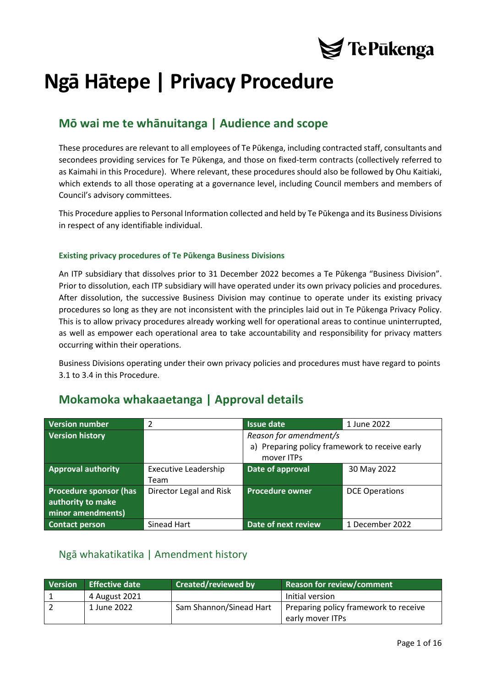

## **Ngā Hātepe | Privacy Procedure**

## **Mō wai me te whānuitanga | Audience and scope**

These procedures are relevant to all employees of Te Pūkenga, including contracted staff, consultants and secondees providing services for Te Pūkenga, and those on fixed-term contracts (collectively referred to as Kaimahi in this Procedure). Where relevant, these procedures should also be followed by Ohu Kaitiaki, which extends to all those operating at a governance level, including Council members and members of Council's advisory committees.

This Procedure appliesto Personal Information collected and held by Te Pūkenga and its Business Divisions in respect of any identifiable individual.

#### **Existing privacy procedures of Te Pūkenga Business Divisions**

An ITP subsidiary that dissolves prior to 31 December 2022 becomes a Te Pūkenga "Business Division". Prior to dissolution, each ITP subsidiary will have operated under its own privacy policies and procedures. After dissolution, the successive Business Division may continue to operate under its existing privacy procedures so long as they are not inconsistent with the principles laid out in Te Pūkenga Privacy Policy. This is to allow privacy procedures already working well for operational areas to continue uninterrupted, as well as empower each operational area to take accountability and responsibility for privacy matters occurring within their operations.

Business Divisions operating under their own privacy policies and procedures must have regard to points 3.1 to 3.4 in this Procedure.

| <b>Version number</b><br><b>Issue date</b><br>2<br>1 June 2022          |                                     |                                                                                        |                       |
|-------------------------------------------------------------------------|-------------------------------------|----------------------------------------------------------------------------------------|-----------------------|
| <b>Version history</b>                                                  |                                     | Reason for amendment/s<br>a) Preparing policy framework to receive early<br>mover ITPs |                       |
| <b>Approval authority</b>                                               | <b>Executive Leadership</b><br>Team | Date of approval                                                                       | 30 May 2022           |
| <b>Procedure sponsor (has</b><br>authority to make<br>minor amendments) | Director Legal and Risk             | <b>Procedure owner</b>                                                                 | <b>DCE Operations</b> |
| <b>Contact person</b>                                                   | Sinead Hart                         | Date of next review                                                                    | 1 December 2022       |

## **Mokamoka whakaaetanga | Approval details**

#### <span id="page-0-0"></span>Ngā whakatikatika | Amendment history

| <b>Version</b> | <b>Effective date</b> | <b>Created/reviewed by</b> | <b>Reason for review/comment</b>                          |
|----------------|-----------------------|----------------------------|-----------------------------------------------------------|
|                | 4 August 2021         |                            | Initial version                                           |
|                | 1 June 2022           | Sam Shannon/Sinead Hart    | Preparing policy framework to receive<br>early mover ITPs |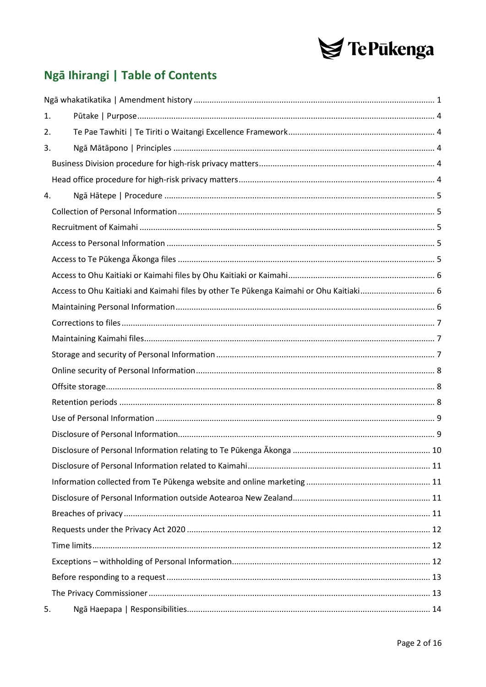

## Ngā Ihirangi | Table of Contents

| 1. |                                                                                        |  |
|----|----------------------------------------------------------------------------------------|--|
| 2. |                                                                                        |  |
| 3. |                                                                                        |  |
|    |                                                                                        |  |
|    |                                                                                        |  |
| 4. |                                                                                        |  |
|    |                                                                                        |  |
|    |                                                                                        |  |
|    |                                                                                        |  |
|    |                                                                                        |  |
|    |                                                                                        |  |
|    | Access to Ohu Kaitiaki and Kaimahi files by other Te Pūkenga Kaimahi or Ohu Kaitiaki 6 |  |
|    |                                                                                        |  |
|    |                                                                                        |  |
|    |                                                                                        |  |
|    |                                                                                        |  |
|    |                                                                                        |  |
|    |                                                                                        |  |
|    |                                                                                        |  |
|    |                                                                                        |  |
|    |                                                                                        |  |
|    |                                                                                        |  |
|    |                                                                                        |  |
|    |                                                                                        |  |
|    |                                                                                        |  |
|    |                                                                                        |  |
|    |                                                                                        |  |
|    |                                                                                        |  |
|    |                                                                                        |  |
|    |                                                                                        |  |
|    |                                                                                        |  |
| 5. |                                                                                        |  |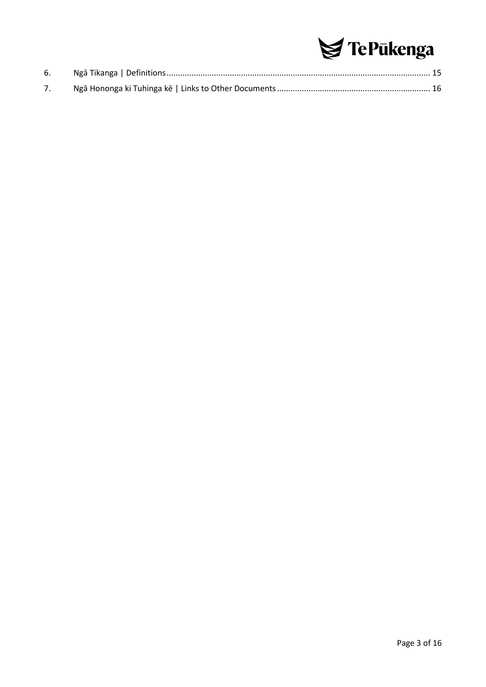# S TePūkenga

| 6. |  |
|----|--|
|    |  |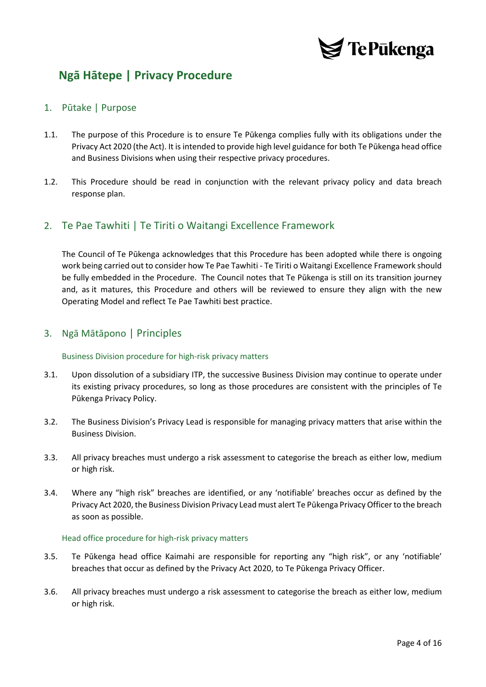

## **Ngā Hātepe | Privacy Procedure**

#### <span id="page-3-0"></span>1. Pūtake | Purpose

- 1.1. The purpose of this Procedure is to ensure Te Pūkenga complies fully with its obligations under the Privacy Act 2020 (the Act). It is intended to provide high level guidance for both Te Pūkenga head office and Business Divisions when using their respective privacy procedures.
- 1.2. This Procedure should be read in conjunction with the relevant privacy policy and data breach response plan.

#### <span id="page-3-1"></span>2. Te Pae Tawhiti | Te Tiriti o Waitangi Excellence Framework

The Council of Te Pūkenga acknowledges that this Procedure has been adopted while there is ongoing work being carried out to consider how Te Pae Tawhiti - Te Tiriti o Waitangi Excellence Framework should be fully embedded in the Procedure. The Council notes that Te Pūkenga is still on its transition journey and, as it matures, this Procedure and others will be reviewed to ensure they align with the new Operating Model and reflect Te Pae Tawhiti best practice.

#### <span id="page-3-3"></span><span id="page-3-2"></span>3. Ngā Mātāpono | Principles

#### Business Division procedure for high-risk privacy matters

- 3.1. Upon dissolution of a subsidiary ITP, the successive Business Division may continue to operate under its existing privacy procedures, so long as those procedures are consistent with the principles of Te Pūkenga Privacy Policy.
- 3.2. The Business Division's Privacy Lead is responsible for managing privacy matters that arise within the Business Division.
- 3.3. All privacy breaches must undergo a risk assessment to categorise the breach as either low, medium or high risk.
- 3.4. Where any "high risk" breaches are identified, or any 'notifiable' breaches occur as defined by the Privacy Act 2020, the Business Division Privacy Lead must alert Te Pūkenga Privacy Officer to the breach as soon as possible.

#### <span id="page-3-4"></span>Head office procedure for high-risk privacy matters

- 3.5. Te Pūkenga head office Kaimahi are responsible for reporting any "high risk", or any 'notifiable' breaches that occur as defined by the Privacy Act 2020, to Te Pūkenga Privacy Officer.
- 3.6. All privacy breaches must undergo a risk assessment to categorise the breach as either low, medium or high risk.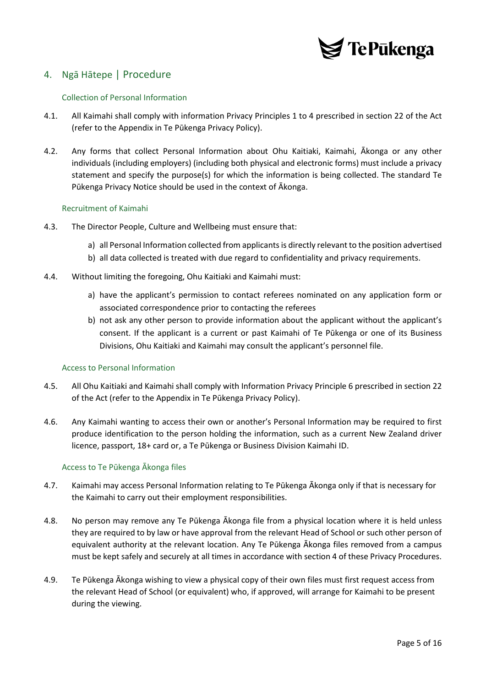

#### <span id="page-4-1"></span><span id="page-4-0"></span>4. Ngā Hātepe | Procedure

#### Collection of Personal Information

- 4.1. All Kaimahi shall comply with information Privacy Principles 1 to 4 prescribed in section 22 of the Act (refer to the Appendix in Te Pūkenga Privacy Policy).
- 4.2. Any forms that collect Personal Information about Ohu Kaitiaki, Kaimahi, Ākonga or any other individuals (including employers) (including both physical and electronic forms) must include a privacy statement and specify the purpose(s) for which the information is being collected. The standard Te Pūkenga Privacy Notice should be used in the context of Ākonga.

#### <span id="page-4-2"></span>Recruitment of Kaimahi

- 4.3. The Director People, Culture and Wellbeing must ensure that:
	- a) all Personal Information collected from applicants is directly relevant to the position advertised
	- b) all data collected is treated with due regard to confidentiality and privacy requirements.
- 4.4. Without limiting the foregoing, Ohu Kaitiaki and Kaimahi must:
	- a) have the applicant's permission to contact referees nominated on any application form or associated correspondence prior to contacting the referees
	- b) not ask any other person to provide information about the applicant without the applicant's consent. If the applicant is a current or past Kaimahi of Te Pūkenga or one of its Business Divisions, Ohu Kaitiaki and Kaimahi may consult the applicant's personnel file.

#### <span id="page-4-3"></span>Access to Personal Information

- 4.5. All Ohu Kaitiaki and Kaimahi shall comply with Information Privacy Principle 6 prescribed in section 22 of the Act (refer to the Appendix in Te Pūkenga Privacy Policy).
- 4.6. Any Kaimahi wanting to access their own or another's Personal Information may be required to first produce identification to the person holding the information, such as a current New Zealand driver licence, passport, 18+ card or, a Te Pūkenga or Business Division Kaimahi ID.

#### <span id="page-4-4"></span>Access to Te Pūkenga Ākonga files

- 4.7. Kaimahi may access Personal Information relating to Te Pūkenga Ākonga only if that is necessary for the Kaimahi to carry out their employment responsibilities.
- 4.8. No person may remove any Te Pūkenga Ākonga file from a physical location where it is held unless they are required to by law or have approval from the relevant Head of School or such other person of equivalent authority at the relevant location. Any Te Pūkenga Ākonga files removed from a campus must be kept safely and securely at all times in accordance with section 4 of these Privacy Procedures.
- 4.9. Te Pūkenga Ākonga wishing to view a physical copy of their own files must first request access from the relevant Head of School (or equivalent) who, if approved, will arrange for Kaimahi to be present during the viewing.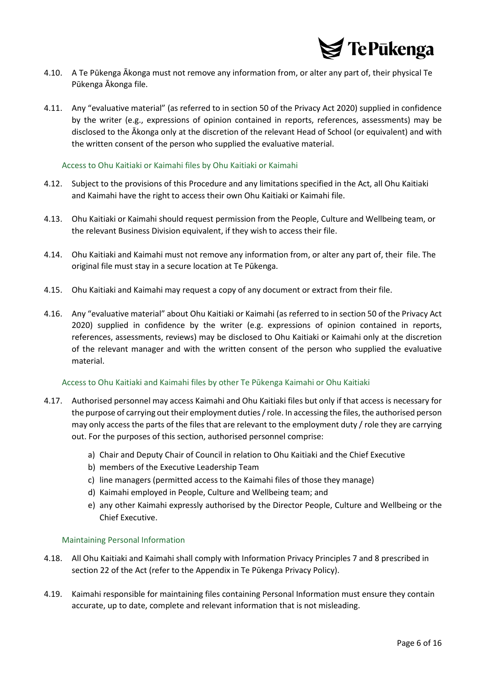

- 4.10. A Te Pūkenga Ākonga must not remove any information from, or alter any part of, their physical Te Pūkenga Ākonga file.
- 4.11. Any "evaluative material" (as referred to in section 50 of the Privacy Act 2020) supplied in confidence by the writer (e.g., expressions of opinion contained in reports, references, assessments) may be disclosed to the Ākonga only at the discretion of the relevant Head of School (or equivalent) and with the written consent of the person who supplied the evaluative material.

#### <span id="page-5-0"></span>Access to Ohu Kaitiaki or Kaimahi files by Ohu Kaitiaki or Kaimahi

- 4.12. Subject to the provisions of this Procedure and any limitations specified in the Act, all Ohu Kaitiaki and Kaimahi have the right to access their own Ohu Kaitiaki or Kaimahi file.
- 4.13. Ohu Kaitiaki or Kaimahi should request permission from the People, Culture and Wellbeing team, or the relevant Business Division equivalent, if they wish to access their file.
- 4.14. Ohu Kaitiaki and Kaimahi must not remove any information from, or alter any part of, their file. The original file must stay in a secure location at Te Pūkenga.
- 4.15. Ohu Kaitiaki and Kaimahi may request a copy of any document or extract from their file.
- 4.16. Any "evaluative material" about Ohu Kaitiaki or Kaimahi (as referred to in section 50 of the Privacy Act 2020) supplied in confidence by the writer (e.g. expressions of opinion contained in reports, references, assessments, reviews) may be disclosed to Ohu Kaitiaki or Kaimahi only at the discretion of the relevant manager and with the written consent of the person who supplied the evaluative material.

#### <span id="page-5-1"></span>Access to Ohu Kaitiaki and Kaimahi files by other Te Pūkenga Kaimahi or Ohu Kaitiaki

- 4.17. Authorised personnel may access Kaimahi and Ohu Kaitiaki files but only if that access is necessary for the purpose of carrying out their employment duties / role. In accessing the files, the authorised person may only access the parts of the files that are relevant to the employment duty / role they are carrying out. For the purposes of this section, authorised personnel comprise:
	- a) Chair and Deputy Chair of Council in relation to Ohu Kaitiaki and the Chief Executive
	- b) members of the Executive Leadership Team
	- c) line managers (permitted access to the Kaimahi files of those they manage)
	- d) Kaimahi employed in People, Culture and Wellbeing team; and
	- e) any other Kaimahi expressly authorised by the Director People, Culture and Wellbeing or the Chief Executive.

#### <span id="page-5-2"></span>Maintaining Personal Information

- 4.18. All Ohu Kaitiaki and Kaimahi shall comply with Information Privacy Principles 7 and 8 prescribed in section 22 of the Act (refer to the Appendix in Te Pūkenga Privacy Policy).
- 4.19. Kaimahi responsible for maintaining files containing Personal Information must ensure they contain accurate, up to date, complete and relevant information that is not misleading.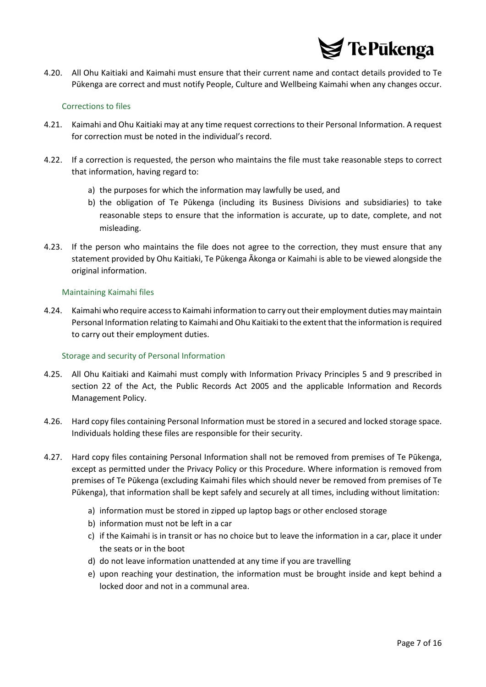

4.20. All Ohu Kaitiaki and Kaimahi must ensure that their current name and contact details provided to Te Pūkenga are correct and must notify People, Culture and Wellbeing Kaimahi when any changes occur.

#### <span id="page-6-0"></span>Corrections to files

- 4.21. Kaimahi and Ohu Kaitiaki may at any time request corrections to their Personal Information. A request for correction must be noted in the individual's record.
- 4.22. If a correction is requested, the person who maintains the file must take reasonable steps to correct that information, having regard to:
	- a) the purposes for which the information may lawfully be used, and
	- b) the obligation of Te Pūkenga (including its Business Divisions and subsidiaries) to take reasonable steps to ensure that the information is accurate, up to date, complete, and not misleading.
- 4.23. If the person who maintains the file does not agree to the correction, they must ensure that any statement provided by Ohu Kaitiaki, Te Pūkenga Ākonga or Kaimahi is able to be viewed alongside the original information.

#### <span id="page-6-1"></span>Maintaining Kaimahi files

4.24. Kaimahi who require access to Kaimahi information to carry out their employment duties may maintain Personal Information relating to Kaimahi and Ohu Kaitiaki to the extent that the information is required to carry out their employment duties.

#### <span id="page-6-2"></span>Storage and security of Personal Information

- 4.25. All Ohu Kaitiaki and Kaimahi must comply with Information Privacy Principles 5 and 9 prescribed in section 22 of the Act, the Public Records Act 2005 and the applicable Information and Records Management Policy.
- 4.26. Hard copy files containing Personal Information must be stored in a secured and locked storage space. Individuals holding these files are responsible for their security.
- 4.27. Hard copy files containing Personal Information shall not be removed from premises of Te Pūkenga, except as permitted under the Privacy Policy or this Procedure. Where information is removed from premises of Te Pūkenga (excluding Kaimahi files which should never be removed from premises of Te Pūkenga), that information shall be kept safely and securely at all times, including without limitation:
	- a) information must be stored in zipped up laptop bags or other enclosed storage
	- b) information must not be left in a car
	- c) if the Kaimahi is in transit or has no choice but to leave the information in a car, place it under the seats or in the boot
	- d) do not leave information unattended at any time if you are travelling
	- e) upon reaching your destination, the information must be brought inside and kept behind a locked door and not in a communal area.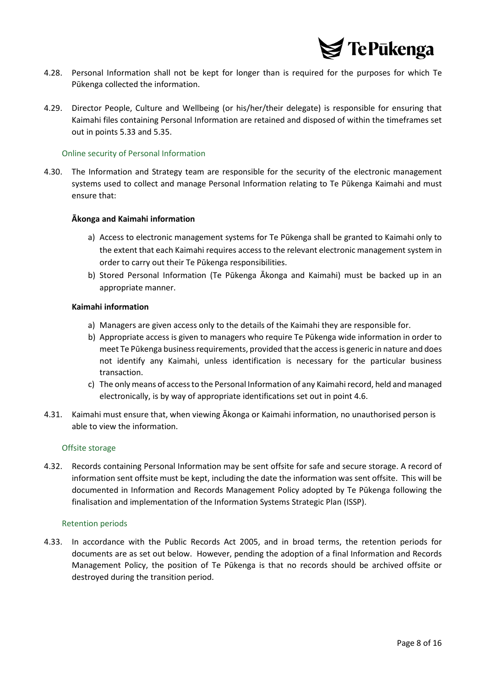

- 4.28. Personal Information shall not be kept for longer than is required for the purposes for which Te Pūkenga collected the information.
- 4.29. Director People, Culture and Wellbeing (or his/her/their delegate) is responsible for ensuring that Kaimahi files containing Personal Information are retained and disposed of within the timeframes set out in points 5.33 and 5.35.

#### <span id="page-7-0"></span>Online security of Personal Information

4.30. The Information and Strategy team are responsible for the security of the electronic management systems used to collect and manage Personal Information relating to Te Pūkenga Kaimahi and must ensure that:

#### **Ākonga and Kaimahi information**

- a) Access to electronic management systems for Te Pūkenga shall be granted to Kaimahi only to the extent that each Kaimahi requires access to the relevant electronic management system in order to carry out their Te Pūkenga responsibilities.
- b) Stored Personal Information (Te Pūkenga Ākonga and Kaimahi) must be backed up in an appropriate manner.

#### **Kaimahi information**

- a) Managers are given access only to the details of the Kaimahi they are responsible for.
- b) Appropriate access is given to managers who require Te Pūkenga wide information in order to meet Te Pūkenga business requirements, provided that the access is generic in nature and does not identify any Kaimahi, unless identification is necessary for the particular business transaction.
- c) The only means of access to the Personal Information of any Kaimahirecord, held and managed electronically, is by way of appropriate identifications set out in point 4.6.
- 4.31. Kaimahi must ensure that, when viewing Ākonga or Kaimahi information, no unauthorised person is able to view the information.

#### <span id="page-7-1"></span>Offsite storage

4.32. Records containing Personal Information may be sent offsite for safe and secure storage. A record of information sent offsite must be kept, including the date the information was sent offsite. This will be documented in Information and Records Management Policy adopted by Te Pūkenga following the finalisation and implementation of the Information Systems Strategic Plan (ISSP).

#### <span id="page-7-2"></span>Retention periods

4.33. In accordance with the Public Records Act 2005, and in broad terms, the retention periods for documents are as set out below. However, pending the adoption of a final Information and Records Management Policy, the position of Te Pūkenga is that no records should be archived offsite or destroyed during the transition period.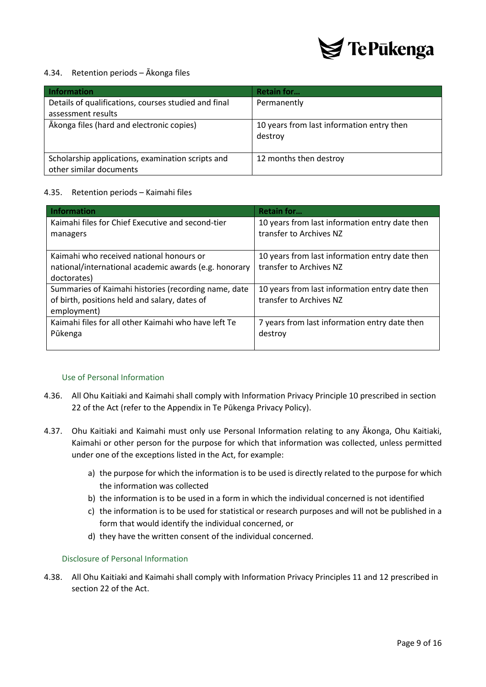

#### 4.34. Retention periods – Ākonga files

| <b>Information</b>                                                           | <b>Retain for</b>                                    |
|------------------------------------------------------------------------------|------------------------------------------------------|
| Details of qualifications, courses studied and final                         | Permanently                                          |
| assessment results                                                           |                                                      |
| Ākonga files (hard and electronic copies)                                    | 10 years from last information entry then<br>destroy |
| Scholarship applications, examination scripts and<br>other similar documents | 12 months then destroy                               |

#### 4.35. Retention periods – Kaimahi files

| <b>Information</b>                                            | <b>Retain for</b>                                                         |
|---------------------------------------------------------------|---------------------------------------------------------------------------|
| Kaimahi files for Chief Executive and second-tier<br>managers | 10 years from last information entry date then<br>transfer to Archives NZ |
|                                                               |                                                                           |
| Kaimahi who received national honours or                      | 10 years from last information entry date then                            |
| national/international academic awards (e.g. honorary         | transfer to Archives NZ                                                   |
| doctorates)                                                   |                                                                           |
| Summaries of Kaimahi histories (recording name, date          | 10 years from last information entry date then                            |
| of birth, positions held and salary, dates of                 | transfer to Archives NZ                                                   |
| employment)                                                   |                                                                           |
| Kaimahi files for all other Kaimahi who have left Te          | 7 years from last information entry date then                             |
| Pūkenga                                                       | destroy                                                                   |
|                                                               |                                                                           |

#### <span id="page-8-0"></span>Use of Personal Information

- 4.36. All Ohu Kaitiaki and Kaimahi shall comply with Information Privacy Principle 10 prescribed in section 22 of the Act (refer to the Appendix in Te Pūkenga Privacy Policy).
- 4.37. Ohu Kaitiaki and Kaimahi must only use Personal Information relating to any Ākonga, Ohu Kaitiaki, Kaimahi or other person for the purpose for which that information was collected, unless permitted under one of the exceptions listed in the Act, for example:
	- a) the purpose for which the information is to be used is directly related to the purpose for which the information was collected
	- b) the information is to be used in a form in which the individual concerned is not identified
	- c) the information is to be used for statistical or research purposes and will not be published in a form that would identify the individual concerned, or
	- d) they have the written consent of the individual concerned.

#### <span id="page-8-1"></span>Disclosure of Personal Information

4.38. All Ohu Kaitiaki and Kaimahi shall comply with Information Privacy Principles 11 and 12 prescribed in section 22 of the Act.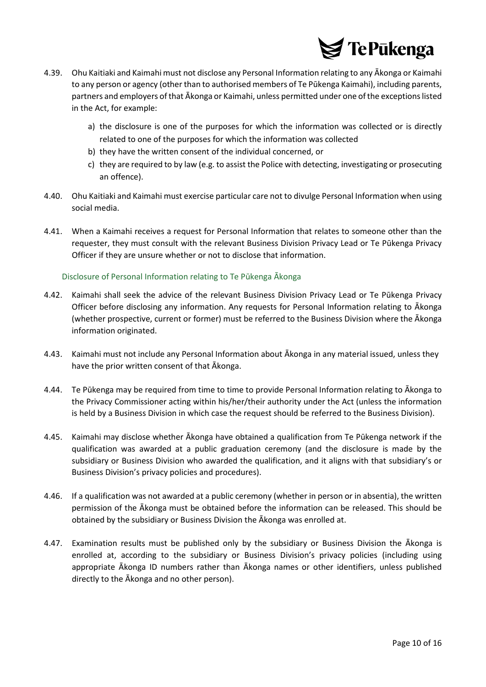

- 4.39. Ohu Kaitiaki and Kaimahi must not disclose any Personal Information relating to any Ākonga or Kaimahi to any person or agency (other than to authorised members of Te Pūkenga Kaimahi), including parents, partners and employers of that Ākonga or Kaimahi, unless permitted under one of the exceptions listed in the Act, for example:
	- a) the disclosure is one of the purposes for which the information was collected or is directly related to one of the purposes for which the information was collected
	- b) they have the written consent of the individual concerned, or
	- c) they are required to by law (e.g. to assist the Police with detecting, investigating or prosecuting an offence).
- 4.40. Ohu Kaitiaki and Kaimahi must exercise particular care not to divulge Personal Information when using social media.
- 4.41. When a Kaimahi receives a request for Personal Information that relates to someone other than the requester, they must consult with the relevant Business Division Privacy Lead or Te Pūkenga Privacy Officer if they are unsure whether or not to disclose that information.

#### <span id="page-9-0"></span>Disclosure of Personal Information relating to Te Pūkenga Ākonga

- 4.42. Kaimahi shall seek the advice of the relevant Business Division Privacy Lead or Te Pūkenga Privacy Officer before disclosing any information. Any requests for Personal Information relating to Ākonga (whether prospective, current or former) must be referred to the Business Division where the Ākonga information originated.
- 4.43. Kaimahi must not include any Personal Information about Ākonga in any material issued, unless they have the prior written consent of that Ākonga.
- 4.44. Te Pūkenga may be required from time to time to provide Personal Information relating to Ākonga to the Privacy Commissioner acting within his/her/their authority under the Act (unless the information is held by a Business Division in which case the request should be referred to the Business Division).
- 4.45. Kaimahi may disclose whether Ākonga have obtained a qualification from Te Pūkenga network if the qualification was awarded at a public graduation ceremony (and the disclosure is made by the subsidiary or Business Division who awarded the qualification, and it aligns with that subsidiary's or Business Division's privacy policies and procedures).
- 4.46. If a qualification was not awarded at a public ceremony (whether in person or in absentia), the written permission of the Ākonga must be obtained before the information can be released. This should be obtained by the subsidiary or Business Division the Ākonga was enrolled at.
- 4.47. Examination results must be published only by the subsidiary or Business Division the Ākonga is enrolled at, according to the subsidiary or Business Division's privacy policies (including using appropriate Ākonga ID numbers rather than Ākonga names or other identifiers, unless published directly to the Ākonga and no other person).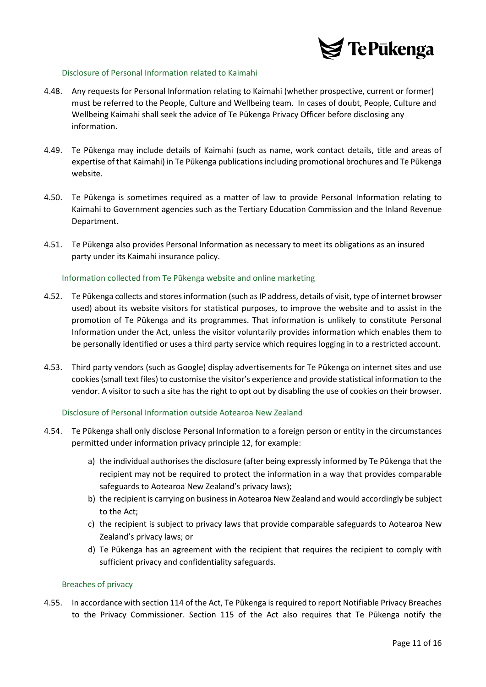

#### <span id="page-10-0"></span>Disclosure of Personal Information related to Kaimahi

- 4.48. Any requests for Personal Information relating to Kaimahi (whether prospective, current or former) must be referred to the People, Culture and Wellbeing team. In cases of doubt, People, Culture and Wellbeing Kaimahi shall seek the advice of Te Pūkenga Privacy Officer before disclosing any information.
- 4.49. Te Pūkenga may include details of Kaimahi (such as name, work contact details, title and areas of expertise of that Kaimahi) in Te Pūkenga publications including promotional brochures and Te Pūkenga website.
- 4.50. Te Pūkenga is sometimes required as a matter of law to provide Personal Information relating to Kaimahi to Government agencies such as the Tertiary Education Commission and the Inland Revenue Department.
- 4.51. Te Pūkenga also provides Personal Information as necessary to meet its obligations as an insured party under its Kaimahi insurance policy.

#### <span id="page-10-1"></span>Information collected from Te Pūkenga website and online marketing

- 4.52. Te Pūkenga collects and stores information (such as IP address, details of visit, type of internet browser used) about its website visitors for statistical purposes, to improve the website and to assist in the promotion of Te Pūkenga and its programmes. That information is unlikely to constitute Personal Information under the Act, unless the visitor voluntarily provides information which enables them to be personally identified or uses a third party service which requires logging in to a restricted account.
- 4.53. Third party vendors (such as Google) display advertisements for Te Pūkenga on internet sites and use cookies (small text files) to customise the visitor's experience and provide statistical information to the vendor. A visitor to such a site has the right to opt out by disabling the use of cookies on their browser.

#### <span id="page-10-2"></span>Disclosure of Personal Information outside Aotearoa New Zealand

- 4.54. Te Pūkenga shall only disclose Personal Information to a foreign person or entity in the circumstances permitted under information privacy principle 12, for example:
	- a) the individual authorises the disclosure (after being expressly informed by Te Pūkenga that the recipient may not be required to protect the information in a way that provides comparable safeguards to Aotearoa New Zealand's privacy laws);
	- b) the recipient is carrying on business in Aotearoa New Zealand and would accordingly be subject to the Act;
	- c) the recipient is subject to privacy laws that provide comparable safeguards to Aotearoa New Zealand's privacy laws; or
	- d) Te Pūkenga has an agreement with the recipient that requires the recipient to comply with sufficient privacy and confidentiality safeguards.

#### <span id="page-10-3"></span>Breaches of privacy

4.55. In accordance with section 114 of the Act, Te Pūkenga is required to report Notifiable Privacy Breaches to the Privacy Commissioner. Section 115 of the Act also requires that Te Pūkenga notify the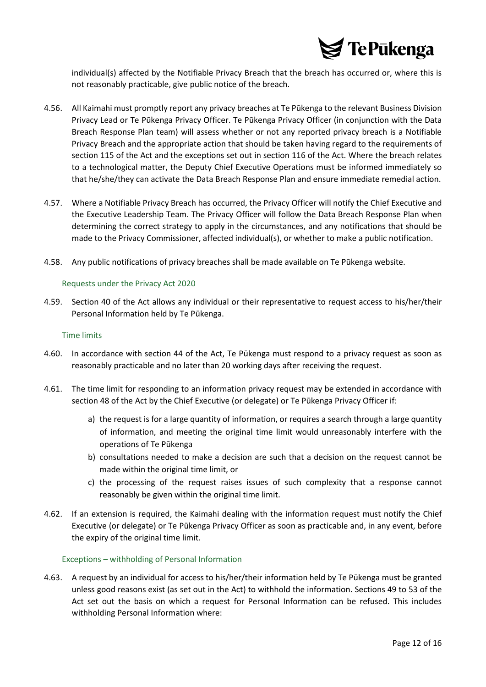

individual(s) affected by the Notifiable Privacy Breach that the breach has occurred or, where this is not reasonably practicable, give public notice of the breach.

- 4.56. All Kaimahi must promptly report any privacy breaches at Te Pūkenga to the relevant Business Division Privacy Lead or Te Pūkenga Privacy Officer. Te Pūkenga Privacy Officer (in conjunction with the Data Breach Response Plan team) will assess whether or not any reported privacy breach is a Notifiable Privacy Breach and the appropriate action that should be taken having regard to the requirements of section 115 of the Act and the exceptions set out in section 116 of the Act. Where the breach relates to a technological matter, the Deputy Chief Executive Operations must be informed immediately so that he/she/they can activate the Data Breach Response Plan and ensure immediate remedial action.
- 4.57. Where a Notifiable Privacy Breach has occurred, the Privacy Officer will notify the Chief Executive and the Executive Leadership Team. The Privacy Officer will follow the Data Breach Response Plan when determining the correct strategy to apply in the circumstances, and any notifications that should be made to the Privacy Commissioner, affected individual(s), or whether to make a public notification.
- <span id="page-11-0"></span>4.58. Any public notifications of privacy breaches shall be made available on Te Pūkenga website.

#### Requests under the Privacy Act 2020

4.59. Section 40 of the Act allows any individual or their representative to request access to his/her/their Personal Information held by Te Pūkenga.

#### <span id="page-11-1"></span>Time limits

- 4.60. In accordance with section 44 of the Act, Te Pūkenga must respond to a privacy request as soon as reasonably practicable and no later than 20 working days after receiving the request.
- 4.61. The time limit for responding to an information privacy request may be extended in accordance with section 48 of the Act by the Chief Executive (or delegate) or Te Pūkenga Privacy Officer if:
	- a) the request is for a large quantity of information, or requires a search through a large quantity of information, and meeting the original time limit would unreasonably interfere with the operations of Te Pūkenga
	- b) consultations needed to make a decision are such that a decision on the request cannot be made within the original time limit, or
	- c) the processing of the request raises issues of such complexity that a response cannot reasonably be given within the original time limit.
- 4.62. If an extension is required, the Kaimahi dealing with the information request must notify the Chief Executive (or delegate) or Te Pūkenga Privacy Officer as soon as practicable and, in any event, before the expiry of the original time limit.

#### <span id="page-11-2"></span>Exceptions – withholding of Personal Information

4.63. A request by an individual for access to his/her/their information held by Te Pūkenga must be granted unless good reasons exist (as set out in the Act) to withhold the information. Sections 49 to 53 of the Act set out the basis on which a request for Personal Information can be refused. This includes withholding Personal Information where: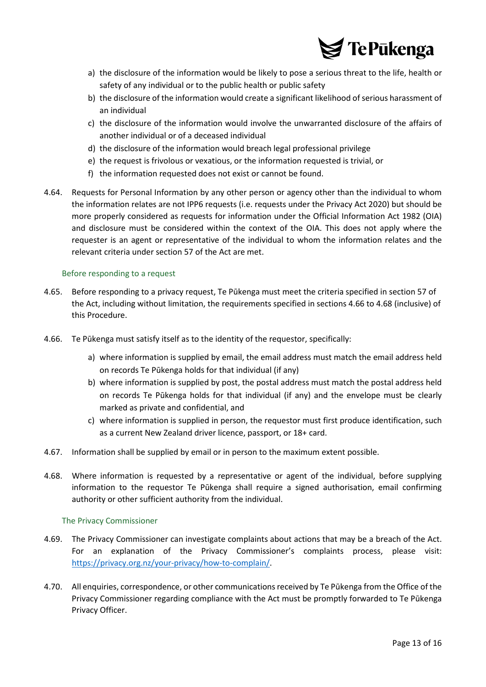

- a) the disclosure of the information would be likely to pose a serious threat to the life, health or safety of any individual or to the public health or public safety
- b) the disclosure of the information would create a significant likelihood of serious harassment of an individual
- c) the disclosure of the information would involve the unwarranted disclosure of the affairs of another individual or of a deceased individual
- d) the disclosure of the information would breach legal professional privilege
- e) the request is frivolous or vexatious, or the information requested is trivial, or
- f) the information requested does not exist or cannot be found.
- 4.64. Requests for Personal Information by any other person or agency other than the individual to whom the information relates are not IPP6 requests (i.e. requests under the Privacy Act 2020) but should be more properly considered as requests for information under the Official Information Act 1982 (OIA) and disclosure must be considered within the context of the OIA. This does not apply where the requester is an agent or representative of the individual to whom the information relates and the relevant criteria under section 57 of the Act are met.

#### <span id="page-12-0"></span>Before responding to a request

- 4.65. Before responding to a privacy request, Te Pūkenga must meet the criteria specified in section 57 of the Act, including without limitation, the requirements specified in sections 4.66 to 4.68 (inclusive) of this Procedure.
- 4.66. Te Pūkenga must satisfy itself as to the identity of the requestor, specifically:
	- a) where information is supplied by email, the email address must match the email address held on records Te Pūkenga holds for that individual (if any)
	- b) where information is supplied by post, the postal address must match the postal address held on records Te Pūkenga holds for that individual (if any) and the envelope must be clearly marked as private and confidential, and
	- c) where information is supplied in person, the requestor must first produce identification, such as a current New Zealand driver licence, passport, or 18+ card.
- 4.67. Information shall be supplied by email or in person to the maximum extent possible.
- 4.68. Where information is requested by a representative or agent of the individual, before supplying information to the requestor Te Pūkenga shall require a signed authorisation, email confirming authority or other sufficient authority from the individual.

#### <span id="page-12-1"></span>The Privacy Commissioner

- 4.69. The Privacy Commissioner can investigate complaints about actions that may be a breach of the Act. For an explanation of the Privacy Commissioner's complaints process, please visit: [https://privacy.org.nz/your](https://privacy.org.nz/your-privacy/how-to-complain/)-privacy/how-to-complain/.
- 4.70. All enquiries, correspondence, or other communications received by Te Pūkenga from the Office of the Privacy Commissioner regarding compliance with the Act must be promptly forwarded to Te Pūkenga Privacy Officer.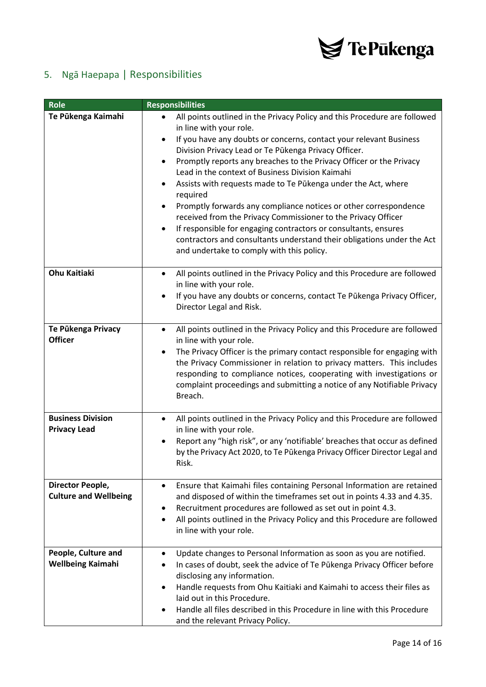

## <span id="page-13-0"></span>5. Ngā Haepapa | Responsibilities

| <b>Role</b>                                      | <b>Responsibilities</b>                                                                                                                                                                                                                                                                                                                                                                                                                                                                                                                                                                                                                                                                                                                                                                                                                 |
|--------------------------------------------------|-----------------------------------------------------------------------------------------------------------------------------------------------------------------------------------------------------------------------------------------------------------------------------------------------------------------------------------------------------------------------------------------------------------------------------------------------------------------------------------------------------------------------------------------------------------------------------------------------------------------------------------------------------------------------------------------------------------------------------------------------------------------------------------------------------------------------------------------|
| Te Pükenga Kaimahi                               | All points outlined in the Privacy Policy and this Procedure are followed<br>٠<br>in line with your role.<br>If you have any doubts or concerns, contact your relevant Business<br>$\bullet$<br>Division Privacy Lead or Te Pūkenga Privacy Officer.<br>Promptly reports any breaches to the Privacy Officer or the Privacy<br>$\bullet$<br>Lead in the context of Business Division Kaimahi<br>Assists with requests made to Te Pūkenga under the Act, where<br>٠<br>required<br>Promptly forwards any compliance notices or other correspondence<br>$\bullet$<br>received from the Privacy Commissioner to the Privacy Officer<br>If responsible for engaging contractors or consultants, ensures<br>$\bullet$<br>contractors and consultants understand their obligations under the Act<br>and undertake to comply with this policy. |
| <b>Ohu Kaitiaki</b>                              | All points outlined in the Privacy Policy and this Procedure are followed<br>٠<br>in line with your role.<br>If you have any doubts or concerns, contact Te Pūkenga Privacy Officer,<br>$\bullet$<br>Director Legal and Risk.                                                                                                                                                                                                                                                                                                                                                                                                                                                                                                                                                                                                           |
| Te Pūkenga Privacy<br><b>Officer</b>             | All points outlined in the Privacy Policy and this Procedure are followed<br>$\bullet$<br>in line with your role.<br>The Privacy Officer is the primary contact responsible for engaging with<br>$\bullet$<br>the Privacy Commissioner in relation to privacy matters. This includes<br>responding to compliance notices, cooperating with investigations or<br>complaint proceedings and submitting a notice of any Notifiable Privacy<br>Breach.                                                                                                                                                                                                                                                                                                                                                                                      |
| <b>Business Division</b><br><b>Privacy Lead</b>  | All points outlined in the Privacy Policy and this Procedure are followed<br>٠<br>in line with your role.<br>Report any "high risk", or any 'notifiable' breaches that occur as defined<br>$\bullet$<br>by the Privacy Act 2020, to Te Pūkenga Privacy Officer Director Legal and<br>Risk.                                                                                                                                                                                                                                                                                                                                                                                                                                                                                                                                              |
| Director People,<br><b>Culture and Wellbeing</b> | Ensure that Kaimahi files containing Personal Information are retained<br>$\bullet$<br>and disposed of within the timeframes set out in points 4.33 and 4.35.<br>Recruitment procedures are followed as set out in point 4.3.<br>All points outlined in the Privacy Policy and this Procedure are followed<br>$\bullet$<br>in line with your role.                                                                                                                                                                                                                                                                                                                                                                                                                                                                                      |
| People, Culture and<br>Wellbeing Kaimahi         | Update changes to Personal Information as soon as you are notified.<br>$\bullet$<br>In cases of doubt, seek the advice of Te Pūkenga Privacy Officer before<br>disclosing any information.<br>Handle requests from Ohu Kaitiaki and Kaimahi to access their files as<br>$\bullet$<br>laid out in this Procedure.<br>Handle all files described in this Procedure in line with this Procedure<br>and the relevant Privacy Policy.                                                                                                                                                                                                                                                                                                                                                                                                        |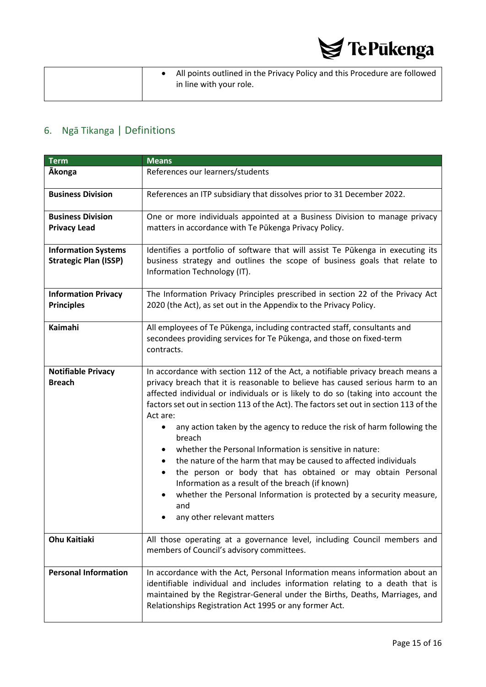

|  | All points outlined in the Privacy Policy and this Procedure are followed<br>in line with your role. |
|--|------------------------------------------------------------------------------------------------------|
|  |                                                                                                      |

## <span id="page-14-0"></span>6. Ngā Tikanga | Definitions

| <b>Term</b>                                                | <b>Means</b>                                                                                                                                                                                                                                                                                                                                                                                                                                                                                                                                                                                                                                                                                                                                                                                                                                   |  |
|------------------------------------------------------------|------------------------------------------------------------------------------------------------------------------------------------------------------------------------------------------------------------------------------------------------------------------------------------------------------------------------------------------------------------------------------------------------------------------------------------------------------------------------------------------------------------------------------------------------------------------------------------------------------------------------------------------------------------------------------------------------------------------------------------------------------------------------------------------------------------------------------------------------|--|
| <b>Ākonga</b>                                              | References our learners/students                                                                                                                                                                                                                                                                                                                                                                                                                                                                                                                                                                                                                                                                                                                                                                                                               |  |
| <b>Business Division</b>                                   | References an ITP subsidiary that dissolves prior to 31 December 2022.                                                                                                                                                                                                                                                                                                                                                                                                                                                                                                                                                                                                                                                                                                                                                                         |  |
| <b>Business Division</b><br><b>Privacy Lead</b>            | One or more individuals appointed at a Business Division to manage privacy<br>matters in accordance with Te Pūkenga Privacy Policy.                                                                                                                                                                                                                                                                                                                                                                                                                                                                                                                                                                                                                                                                                                            |  |
| <b>Information Systems</b><br><b>Strategic Plan (ISSP)</b> | Identifies a portfolio of software that will assist Te Pūkenga in executing its<br>business strategy and outlines the scope of business goals that relate to<br>Information Technology (IT).                                                                                                                                                                                                                                                                                                                                                                                                                                                                                                                                                                                                                                                   |  |
| <b>Information Privacy</b><br><b>Principles</b>            | The Information Privacy Principles prescribed in section 22 of the Privacy Act<br>2020 (the Act), as set out in the Appendix to the Privacy Policy.                                                                                                                                                                                                                                                                                                                                                                                                                                                                                                                                                                                                                                                                                            |  |
| Kaimahi                                                    | All employees of Te Pūkenga, including contracted staff, consultants and<br>secondees providing services for Te Pūkenga, and those on fixed-term<br>contracts.                                                                                                                                                                                                                                                                                                                                                                                                                                                                                                                                                                                                                                                                                 |  |
| <b>Notifiable Privacy</b><br><b>Breach</b>                 | In accordance with section 112 of the Act, a notifiable privacy breach means a<br>privacy breach that it is reasonable to believe has caused serious harm to an<br>affected individual or individuals or is likely to do so (taking into account the<br>factors set out in section 113 of the Act). The factors set out in section 113 of the<br>Act are:<br>any action taken by the agency to reduce the risk of harm following the<br>$\bullet$<br>breach<br>whether the Personal Information is sensitive in nature:<br>the nature of the harm that may be caused to affected individuals<br>٠<br>the person or body that has obtained or may obtain Personal<br>$\bullet$<br>Information as a result of the breach (if known)<br>whether the Personal Information is protected by a security measure,<br>and<br>any other relevant matters |  |
| <b>Ohu Kaitiaki</b>                                        | All those operating at a governance level, including Council members and<br>members of Council's advisory committees.                                                                                                                                                                                                                                                                                                                                                                                                                                                                                                                                                                                                                                                                                                                          |  |
| <b>Personal Information</b>                                | In accordance with the Act, Personal Information means information about an<br>identifiable individual and includes information relating to a death that is<br>maintained by the Registrar-General under the Births, Deaths, Marriages, and<br>Relationships Registration Act 1995 or any former Act.                                                                                                                                                                                                                                                                                                                                                                                                                                                                                                                                          |  |